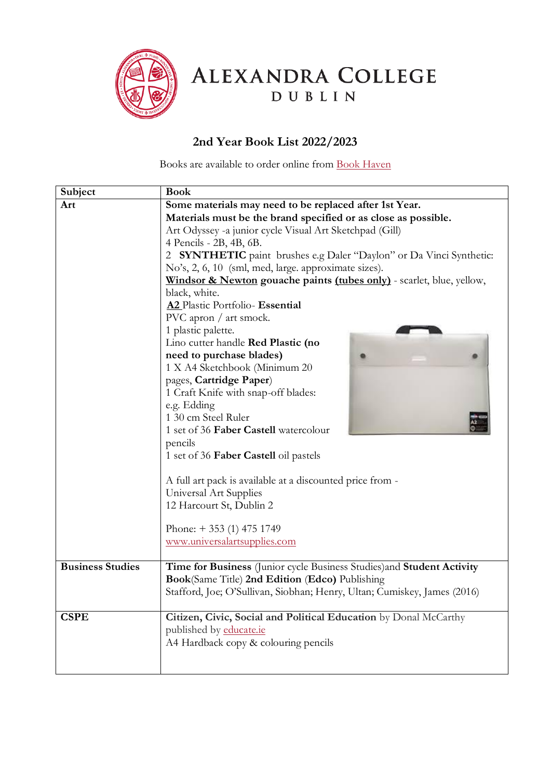

ALEXANDRA COLLEGE

DUBLIN

## **2nd Year Book List 2022/2023**

Books are available to order online from [Book Haven](https://www.bookhaven.ie/booklists/view/index/?code=S4722y)

| Subject                 | <b>Book</b>                                                                  |
|-------------------------|------------------------------------------------------------------------------|
| Art                     | Some materials may need to be replaced after 1st Year.                       |
|                         | Materials must be the brand specified or as close as possible.               |
|                         | Art Odyssey -a junior cycle Visual Art Sketchpad (Gill)                      |
|                         | 4 Pencils - 2B, 4B, 6B.                                                      |
|                         | <b>SYNTHETIC</b> paint brushes e.g Daler "Daylon" or Da Vinci Synthetic:     |
|                         | No's, 2, 6, 10 (sml, med, large. approximate sizes).                         |
|                         | Windsor & Newton gouache paints <i>(tubes only)</i> - scarlet, blue, yellow, |
|                         | black, white.                                                                |
|                         | A2 Plastic Portfolio- Essential                                              |
|                         | PVC apron / art smock.                                                       |
|                         | 1 plastic palette.                                                           |
|                         | Lino cutter handle Red Plastic (no                                           |
|                         | need to purchase blades)                                                     |
|                         | 1 X A4 Sketchbook (Minimum 20                                                |
|                         | pages, Cartridge Paper)                                                      |
|                         | 1 Craft Knife with snap-off blades:                                          |
|                         | e.g. Edding                                                                  |
|                         | 1 30 cm Steel Ruler                                                          |
|                         | 1 set of 36 Faber Castell watercolour                                        |
|                         | pencils                                                                      |
|                         | 1 set of 36 Faber Castell oil pastels                                        |
|                         |                                                                              |
|                         | A full art pack is available at a discounted price from -                    |
|                         | Universal Art Supplies                                                       |
|                         | 12 Harcourt St, Dublin 2                                                     |
|                         |                                                                              |
|                         | Phone: $+ 353$ (1) 475 1749                                                  |
|                         | www.universalartsupplies.com                                                 |
|                         |                                                                              |
| <b>Business Studies</b> | Time for Business (Junior cycle Business Studies) and Student Activity       |
|                         | Book(Same Title) 2nd Edition (Edco) Publishing                               |
|                         | Stafford, Joe; O'Sullivan, Siobhan; Henry, Ultan; Cumiskey, James (2016)     |
|                         |                                                                              |
| <b>CSPE</b>             | Citizen, Civic, Social and Political Education by Donal McCarthy             |
|                         | published by educate.ie                                                      |
|                         | A4 Hardback copy & colouring pencils                                         |
|                         |                                                                              |
|                         |                                                                              |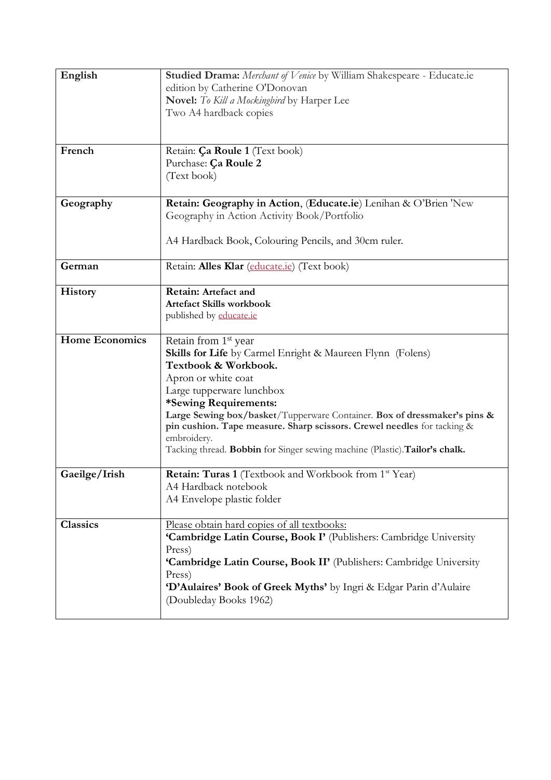| English               | Studied Drama: Merchant of Venice by William Shakespeare - Educate.ie<br>edition by Catherine O'Donovan<br>Novel: To Kill a Mockingbird by Harper Lee<br>Two A4 hardback copies                                                                                                                                                                                                                                                                                 |
|-----------------------|-----------------------------------------------------------------------------------------------------------------------------------------------------------------------------------------------------------------------------------------------------------------------------------------------------------------------------------------------------------------------------------------------------------------------------------------------------------------|
| French                | Retain: Ça Roule 1 (Text book)<br>Purchase: Ça Roule 2<br>(Text book)                                                                                                                                                                                                                                                                                                                                                                                           |
| Geography             | Retain: Geography in Action, (Educate.ie) Lenihan & O'Brien 'New<br>Geography in Action Activity Book/Portfolio<br>A4 Hardback Book, Colouring Pencils, and 30cm ruler.                                                                                                                                                                                                                                                                                         |
| German                | Retain: Alles Klar (educate.ie) (Text book)                                                                                                                                                                                                                                                                                                                                                                                                                     |
| <b>History</b>        | Retain: Artefact and<br><b>Artefact Skills workbook</b><br>published by educate.ie                                                                                                                                                                                                                                                                                                                                                                              |
| <b>Home Economics</b> | Retain from 1 <sup>st</sup> year<br><b>Skills for Life</b> by Carmel Enright & Maureen Flynn (Folens)<br>Textbook & Workbook.<br>Apron or white coat<br>Large tupperware lunchbox<br>*Sewing Requirements:<br>Large Sewing box/basket/Tupperware Container. Box of dressmaker's pins &<br>pin cushion. Tape measure. Sharp scissors. Crewel needles for tacking &<br>embroidery.<br>Tacking thread. Bobbin for Singer sewing machine (Plastic). Tailor's chalk. |
| Gaeilge/Irish         | <b>Retain: Turas 1</b> (Textbook and Workbook from 1 <sup>st</sup> Year)<br>A4 Hardback notebook<br>A4 Envelope plastic folder                                                                                                                                                                                                                                                                                                                                  |
| <b>Classics</b>       | Please obtain hard copies of all textbooks:<br>'Cambridge Latin Course, Book I' (Publishers: Cambridge University<br>Press)<br>'Cambridge Latin Course, Book II' (Publishers: Cambridge University<br>Press)<br>'D'Aulaires' Book of Greek Myths' by Ingri & Edgar Parin d'Aulaire<br>(Doubleday Books 1962)                                                                                                                                                    |